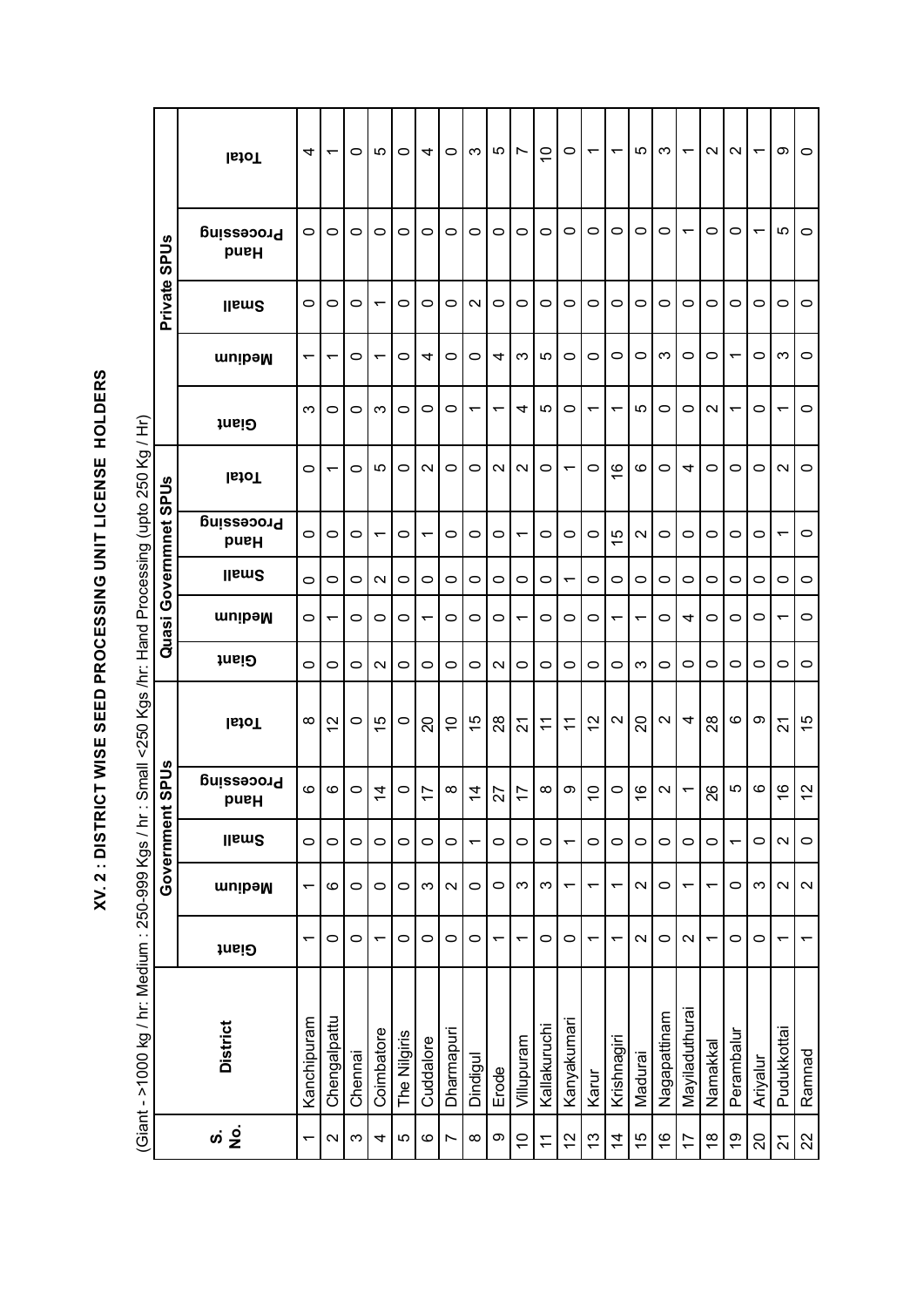| CLC<br>C<br>I                                                                   |
|---------------------------------------------------------------------------------|
| = LC=LC<br>-<br>ı                                                               |
|                                                                                 |
| ١                                                                               |
| י                                                                               |
| - 1<br>- 1<br>- 1<br>- 1<br>I<br>$\ddot{\phantom{0}}$<br><b>Service Service</b> |
| י<br>ו                                                                          |

| $\frac{1}{4}$      |
|--------------------|
|                    |
|                    |
|                    |
|                    |
|                    |
| i<br>Si            |
|                    |
|                    |
|                    |
| $\frac{1}{2}$<br>I |
|                    |
|                    |
|                    |
| $\frac{1}{2}$      |
|                    |
| $\mathbf$          |